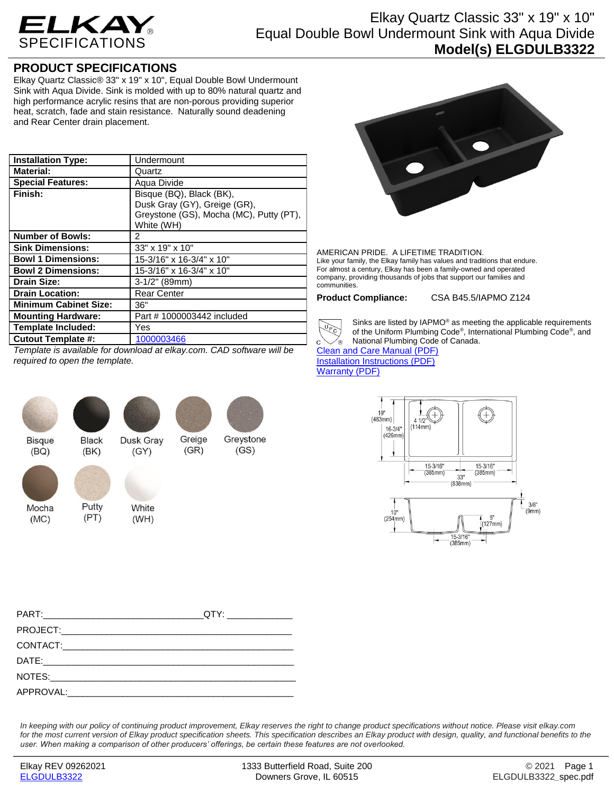

## Elkay Quartz Classic 33" x 19" x 10" Equal Double Bowl Undermount Sink with Aqua Divide **Model(s) ELGDULB3322**

## **PRODUCT SPECIFICATIONS**

Elkay Quartz Classic® 33" x 19" x 10", Equal Double Bowl Undermount Sink with Aqua Divide. Sink is molded with up to 80% natural quartz and high performance acrylic resins that are non-porous providing superior heat, scratch, fade and stain resistance. Naturally sound deadening and Rear Center drain placement.

| <b>Installation Type:</b>    | Undermount                                                                                                        |
|------------------------------|-------------------------------------------------------------------------------------------------------------------|
| <b>Material:</b>             | Quartz                                                                                                            |
| <b>Special Features:</b>     | Aqua Divide                                                                                                       |
| Finish:                      | Bisque (BQ), Black (BK),<br>Dusk Gray (GY), Greige (GR),<br>Greystone (GS), Mocha (MC), Putty (PT),<br>White (WH) |
| <b>Number of Bowls:</b>      | 2                                                                                                                 |
| <b>Sink Dimensions:</b>      | 33" x 19" x 10"                                                                                                   |
| <b>Bowl 1 Dimensions:</b>    | 15-3/16" x 16-3/4" x 10"                                                                                          |
| <b>Bowl 2 Dimensions:</b>    | 15-3/16" x 16-3/4" x 10"                                                                                          |
| <b>Drain Size:</b>           | $3-1/2"$ (89mm)                                                                                                   |
| <b>Drain Location:</b>       | <b>Rear Center</b>                                                                                                |
| <b>Minimum Cabinet Size:</b> | 36"                                                                                                               |
| <b>Mounting Hardware:</b>    | Part # 1000003442 included                                                                                        |
| <b>Template Included:</b>    | Yes                                                                                                               |
| <b>Cutout Template #:</b>    | 1000003466                                                                                                        |

*Template is available for download at elkay.com. CAD software will be required to open the template.*



 $(BQ)$ 

Mocha

 $(MC)$ 

Black

 $(BK)$ 

Putty

 $(PT)$ 

Dusk Grav

White

 $(WH)$ 









AMERICAN PRIDE. A LIFETIME TRADITION. Like your family, the Elkay family has values and traditions that endure. For almost a century, Elkay has been a family-owned and operated company, providing thousands of jobs that support our families and communities.

**Product Compliance:** CSA B45.5/IAPMO Z124



Sinks are listed by IAPMO® as meeting the applicable requirements of the Uniform Plumbing Code® , International Plumbing Code® , and National Plumbing Code of Canada.

[Clean and Care Manual \(PDF\)](http://www.elkayfiles.com/care-cleaning-install-warranty-sheets/1000005387.pdf) [Installation Instructions \(PDF\)](http://www.elkayfiles.com/care-cleaning-install-warranty-sheets/1000005238.pdf) [Warranty](http://www.elkayfiles.com/care-cleaning-install-warranty-sheets/1000005126.pdf) (PDF)



*In keeping with our policy of continuing product improvement, Elkay reserves the right to change product specifications without notice. Please visit elkay.com for the most current version of Elkay product specification sheets. This specification describes an Elkay product with design, quality, and functional benefits to the user. When making a comparison of other producers' offerings, be certain these features are not overlooked.*